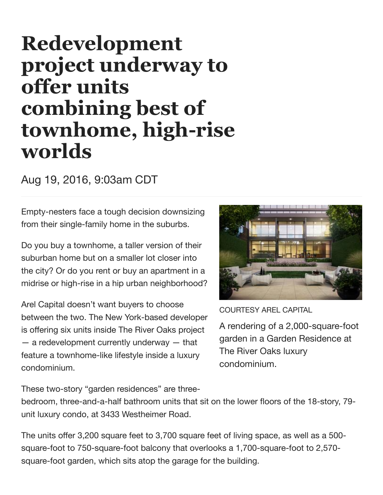## **Redevelopment project underway to offer units combining best of** townhome, high-rise **worlds**

Aug 19, 2016, 9:03am CDT

Empty-nesters face a tough decision downsizing from their single-family home in the suburbs.

Do you buy a townhome, a taller version of their suburban home but on a smaller lot closer into the city? Or do you rent or buy an apartment in a midrise or high-rise in a hip urban neighborhood?

Arel Capital doesn't want buyers to choose between the two. The New York-based developer is offering six units inside The River Oaks project  $-$  a redevelopment currently underway  $-$  that feature a townhome-like lifestyle inside a luxury condominium.



COURTESY AREL CAPITAL

A rendering of a 2,000-square-foot garden in a Garden Residence at The River Oaks luxury condominium.

These two-story "garden residences" are three-

bedroom, three-and-a-half bathroom units that sit on the lower floors of the 18-story, 79 unit luxury condo, at 3433 Westheimer Road.

The units offer 3,200 square feet to 3,700 square feet of living space, as well as a 500 square-foot to 750-square-foot balcony that overlooks a 1,700-square-foot to 2,570 square-foot garden, which sits atop the garage for the building.